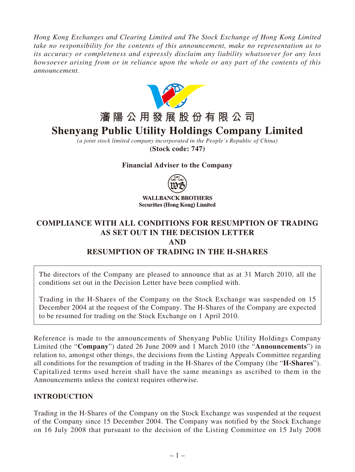*Hong Kong Exchanges and Clearing Limited and The Stock Exchange of Hong Kong Limited take no responsibility for the contents of this announcement, make no representation as to its accuracy or completeness and expressly disclaim any liability whatsoever for any loss howsoever arising from or in reliance upon the whole or any part of the contents of this announcement.*



# **瀋陽公用發展股份有限公司**

# **Shenyang Public Utility Holdings Company Limited**

*(a joint stock limited company incorporated in the People's Republic of China)* **(Stock code: 747)**

#### **Financial Adviser to the Company**



**WALLBANCK BROTHERS Securities (Hong Kong) Limited** 

# **COMPLIANCE WITH ALL CONDITIONS FOR RESUMPTION OF TRADING AS SET OUT IN THE DECISION LETTER AND RESUMPTION OF TRADING IN THE H-SHARES**

The directors of the Company are pleased to announce that as at 31 March 2010, all the conditions set out in the Decision Letter have been complied with.

Trading in the H-Shares of the Company on the Stock Exchange was suspended on 15 December 2004 at the request of the Company. The H-Shares of the Company are expected to be resumed for trading on the Stock Exchange on 1 April 2010.

Reference is made to the announcements of Shenyang Public Utility Holdings Company Limited (the "**Company**") dated 26 June 2009 and 1 March 2010 (the "**Announcements**") in relation to, amongst other things, the decisions from the Listing Appeals Committee regarding all conditions for the resumption of trading in the H-Shares of the Company (the "**H-Shares**"). Capitalized terms used herein shall have the same meanings as ascribed to them in the Announcements unless the context requires otherwise.

#### **INTRODUCTION**

Trading in the H-Shares of the Company on the Stock Exchange was suspended at the request of the Company since 15 December 2004. The Company was notified by the Stock Exchange on 16 July 2008 that pursuant to the decision of the Listing Committee on 15 July 2008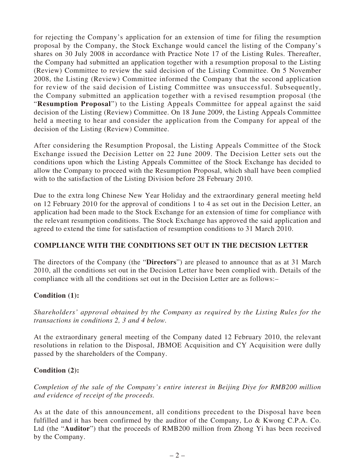for rejecting the Company's application for an extension of time for filing the resumption proposal by the Company, the Stock Exchange would cancel the listing of the Company's shares on 30 July 2008 in accordance with Practice Note 17 of the Listing Rules. Thereafter, the Company had submitted an application together with a resumption proposal to the Listing (Review) Committee to review the said decision of the Listing Committee. On 5 November 2008, the Listing (Review) Committee informed the Company that the second application for review of the said decision of Listing Committee was unsuccessful. Subsequently, the Company submitted an application together with a revised resumption proposal (the "**Resumption Proposal**") to the Listing Appeals Committee for appeal against the said decision of the Listing (Review) Committee. On 18 June 2009, the Listing Appeals Committee held a meeting to hear and consider the application from the Company for appeal of the decision of the Listing (Review) Committee.

After considering the Resumption Proposal, the Listing Appeals Committee of the Stock Exchange issued the Decision Letter on 22 June 2009. The Decision Letter sets out the conditions upon which the Listing Appeals Committee of the Stock Exchange has decided to allow the Company to proceed with the Resumption Proposal, which shall have been complied with to the satisfaction of the Listing Division before 28 February 2010.

Due to the extra long Chinese New Year Holiday and the extraordinary general meeting held on 12 February 2010 for the approval of conditions 1 to 4 as set out in the Decision Letter, an application had been made to the Stock Exchange for an extension of time for compliance with the relevant resumption conditions. The Stock Exchange has approved the said application and agreed to extend the time for satisfaction of resumption conditions to 31 March 2010.

#### **COMPLIANCE WITH THE CONDITIONS SET OUT IN THE DECISION LETTER**

The directors of the Company (the "**Directors**") are pleased to announce that as at 31 March 2010, all the conditions set out in the Decision Letter have been complied with. Details of the compliance with all the conditions set out in the Decision Letter are as follows:–

# **Condition (1):**

*Shareholders' approval obtained by the Company as required by the Listing Rules for the transactions in conditions 2, 3 and 4 below.*

At the extraordinary general meeting of the Company dated 12 February 2010, the relevant resolutions in relation to the Disposal, JBMOE Acquisition and CY Acquisition were dully passed by the shareholders of the Company.

# **Condition (2):**

*Completion of the sale of the Company's entire interest in Beijing Diye for RMB200 million and evidence of receipt of the proceeds.*

As at the date of this announcement, all conditions precedent to the Disposal have been fulfilled and it has been confirmed by the auditor of the Company, Lo & Kwong C.P.A. Co. Ltd (the "**Auditor**") that the proceeds of RMB200 million from Zhong Yi has been received by the Company.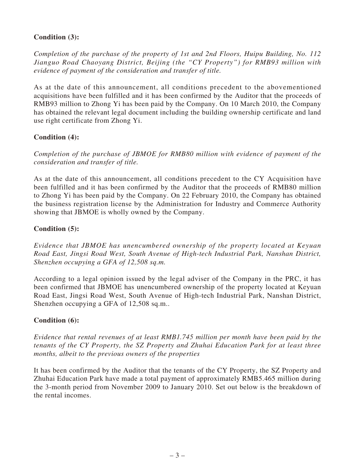# **Condition (3):**

*Completion of the purchase of the property of 1st and 2nd Floors, Huipu Building, No. 112 Jianguo Road Chaoyang District, Beijing (the "CY Property") for RMB93 million with evidence of payment of the consideration and transfer of title.*

As at the date of this announcement, all conditions precedent to the abovementioned acquisitions have been fulfilled and it has been confirmed by the Auditor that the proceeds of RMB93 million to Zhong Yi has been paid by the Company. On 10 March 2010, the Company has obtained the relevant legal document including the building ownership certificate and land use right certificate from Zhong Yi.

#### **Condition (4):**

*Completion of the purchase of JBMOE for RMB80 million with evidence of payment of the consideration and transfer of title.*

As at the date of this announcement, all conditions precedent to the CY Acquisition have been fulfilled and it has been confirmed by the Auditor that the proceeds of RMB80 million to Zhong Yi has been paid by the Company. On 22 February 2010, the Company has obtained the business registration license by the Administration for Industry and Commerce Authority showing that JBMOE is wholly owned by the Company.

#### **Condition (5):**

*Evidence that JBMOE has unencumbered ownership of the property located at Keyuan Road East, Jingsi Road West, South Avenue of High-tech Industrial Park, Nanshan District, Shenzhen occupying a GFA of 12,508 sq.m.*

According to a legal opinion issued by the legal adviser of the Company in the PRC, it has been confirmed that JBMOE has unencumbered ownership of the property located at Keyuan Road East, Jingsi Road West, South Avenue of High-tech Industrial Park, Nanshan District, Shenzhen occupying a GFA of 12,508 sq.m..

#### **Condition (6):**

*Evidence that rental revenues of at least RMB1.745 million per month have been paid by the tenants of the CY Property, the SZ Property and Zhuhai Education Park for at least three months, albeit to the previous owners of the properties*

It has been confirmed by the Auditor that the tenants of the CY Property, the SZ Property and Zhuhai Education Park have made a total payment of approximately RMB5.465 million during the 3-month period from November 2009 to January 2010. Set out below is the breakdown of the rental incomes.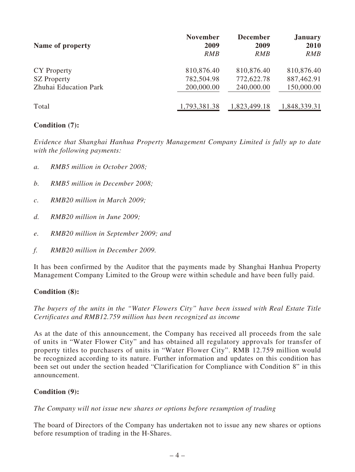| Name of property      | <b>November</b> | <b>December</b> | <b>January</b> |
|-----------------------|-----------------|-----------------|----------------|
|                       | 2009            | 2009            | 2010           |
|                       | <i>RMB</i>      | <b>RMB</b>      | RMB            |
| CY Property           | 810,876.40      | 810,876.40      | 810,876.40     |
| <b>SZ</b> Property    | 782,504.98      | 772,622.78      | 887,462.91     |
| Zhuhai Education Park | 200,000.00      | 240,000.00      | 150,000.00     |
| Total                 | 1,793,381.38    | 1,823,499.18    | 1,848,339.31   |

### **Condition (7):**

*Evidence that Shanghai Hanhua Property Management Company Limited is fully up to date with the following payments:*

- *a. RMB5 million in October 2008;*
- *b. RMB5 million in December 2008;*
- *c. RMB20 million in March 2009;*
- *d. RMB20 million in June 2009;*
- *e. RMB20 million in September 2009; and*
- *f. RMB20 million in December 2009.*

It has been confirmed by the Auditor that the payments made by Shanghai Hanhua Property Management Company Limited to the Group were within schedule and have been fully paid.

#### **Condition (8):**

*The buyers of the units in the "Water Flowers City" have been issued with Real Estate Title Certificates and RMB12.759 million has been recognized as income*

As at the date of this announcement, the Company has received all proceeds from the sale of units in "Water Flower City" and has obtained all regulatory approvals for transfer of property titles to purchasers of units in "Water Flower City". RMB 12.759 million would be recognized according to its nature. Further information and updates on this condition has been set out under the section headed "Clarification for Compliance with Condition 8" in this announcement.

#### **Condition (9):**

#### *The Company will not issue new shares or options before resumption of trading*

The board of Directors of the Company has undertaken not to issue any new shares or options before resumption of trading in the H-Shares.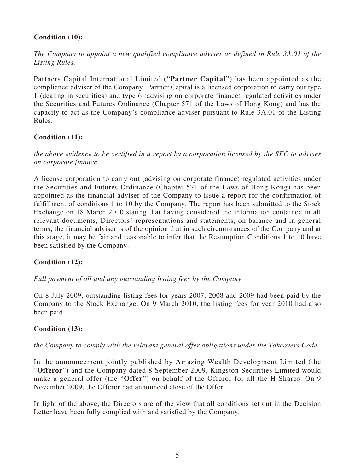## **Condition (10):**

*The Company to appoint a new qualified compliance adviser as defined in Rule 3A.01 of the Listing Rules.*

Partners Capital International Limited ("**Partner Capital**") has been appointed as the compliance adviser of the Company. Partner Capital is a licensed corporation to carry out type 1 (dealing in securities) and type 6 (advising on corporate finance) regulated activities under the Securities and Futures Ordinance (Chapter 571 of the Laws of Hong Kong) and has the capacity to act as the Company's compliance adviser pursuant to Rule 3A.01 of the Listing Rules.

#### **Condition (11):**

*the above evidence to be certified in a report by a corporation licensed by the SFC to adviser on corporate finance*

A license corporation to carry out (advising on corporate finance) regulated activities under the Securities and Futures Ordinance (Chapter 571 of the Laws of Hong Kong) has been appointed as the financial adviser of the Company to issue a report for the confirmation of fulfillment of conditions 1 to 10 by the Company. The report has been submitted to the Stock Exchange on 18 March 2010 stating that having considered the information contained in all relevant documents, Directors' representations and statements, on balance and in general terms, the financial adviser is of the opinion that in such circumstances of the Company and at this stage, it may be fair and reasonable to infer that the Resumption Conditions 1 to 10 have been satisfied by the Company.

#### **Condition (12):**

*Full payment of all and any outstanding listing fees by the Company.*

On 8 July 2009, outstanding listing fees for years 2007, 2008 and 2009 had been paid by the Company to the Stock Exchange. On 9 March 2010, the listing fees for year 2010 had also been paid.

#### **Condition (13):**

#### *the Company to comply with the relevant general offer obligations under the Takeovers Code.*

In the announcement jointly published by Amazing Wealth Development Limited (the "**Offeror**") and the Company dated 8 September 2009, Kingston Securities Limited would make a general offer (the "**Offer**") on behalf of the Offeror for all the H-Shares. On 9 November 2009, the Offeror had announced close of the Offer.

In light of the above, the Directors are of the view that all conditions set out in the Decision Letter have been fully complied with and satisfied by the Company.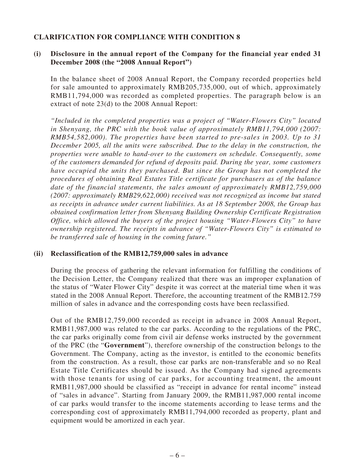#### **CLARIFICATION FOR COMPLIANCE WITH CONDITION 8**

#### **(i) Disclosure in the annual report of the Company for the financial year ended 31 December 2008 (the "2008 Annual Report")**

In the balance sheet of 2008 Annual Report, the Company recorded properties held for sale amounted to approximately RMB205,735,000, out of which, approximately RMB11,794,000 was recorded as completed properties. The paragraph below is an extract of note 23(d) to the 2008 Annual Report:

*"Included in the completed properties was a project of "Water-Flowers City" located in Shenyang, the PRC with the book value of approximately RMB11,794,000 (2007: RMB54,582,000). The properties have been started to pre-sales in 2003. Up to 31 December 2005, all the units were subscribed. Due to the delay in the construction, the properties were unable to hand-over to the customers on schedule. Consequently, some of the customers demanded for refund of deposits paid. During the year, some customers have occupied the units they purchased. But since the Group has not completed the procedures of obtaining Real Estates Title certificate for purchasers as of the balance date of the financial statements, the sales amount of approximately RMB12,759,000 (2007: approximately RMB29,622,000) received was not recognized as income but stated as receipts in advance under current liabilities. As at 18 September 2008, the Group has obtained confirmation letter from Shenyang Building Ownership Certificate Registration Office, which allowed the buyers of the project housing "Water-Flowers City" to have ownership registered. The receipts in advance of "Water-Flowers City" is estimated to be transferred sale of housing in the coming future."*

#### **(ii) Reclassification of the RMB12,759,000 sales in advance**

During the process of gathering the relevant information for fulfilling the conditions of the Decision Letter, the Company realized that there was an improper explanation of the status of "Water Flower City" despite it was correct at the material time when it was stated in the 2008 Annual Report. Therefore, the accounting treatment of the RMB12.759 million of sales in advance and the corresponding costs have been reclassified.

Out of the RMB12,759,000 recorded as receipt in advance in 2008 Annual Report, RMB11,987,000 was related to the car parks. According to the regulations of the PRC, the car parks originally come from civil air defense works instructed by the government of the PRC (the "**Government**"), therefore ownership of the construction belongs to the Government. The Company, acting as the investor, is entitled to the economic benefits from the construction. As a result, those car parks are non-transferable and so no Real Estate Title Certificates should be issued. As the Company had signed agreements with those tenants for using of car parks, for accounting treatment, the amount RMB11,987,000 should be classified as "receipt in advance for rental income" instead of "sales in advance". Starting from January 2009, the RMB11,987,000 rental income of car parks would transfer to the income statements according to lease terms and the corresponding cost of approximately RMB11,794,000 recorded as property, plant and equipment would be amortized in each year.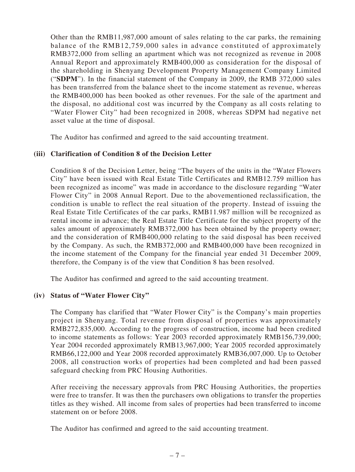Other than the RMB11,987,000 amount of sales relating to the car parks, the remaining balance of the RMB12,759,000 sales in advance constituted of approximately RMB372,000 from selling an apartment which was not recognized as revenue in 2008 Annual Report and approximately RMB400,000 as consideration for the disposal of the shareholding in Shenyang Development Property Management Company Limited ("**SDPM**"). In the financial statement of the Company in 2009, the RMB 372,000 sales has been transferred from the balance sheet to the income statement as revenue, whereas the RMB400,000 has been booked as other revenues. For the sale of the apartment and the disposal, no additional cost was incurred by the Company as all costs relating to "Water Flower City" had been recognized in 2008, whereas SDPM had negative net asset value at the time of disposal.

The Auditor has confirmed and agreed to the said accounting treatment.

#### **(iii) Clarification of Condition 8 of the Decision Letter**

Condition 8 of the Decision Letter, being "The buyers of the units in the "Water Flowers City" have been issued with Real Estate Title Certificates and RMB12.759 million has been recognized as income" was made in accordance to the disclosure regarding "Water Flower City" in 2008 Annual Report. Due to the abovementioned reclassification, the condition is unable to reflect the real situation of the property. Instead of issuing the Real Estate Title Certificates of the car parks, RMB11.987 million will be recognized as rental income in advance; the Real Estate Title Certificate for the subject property of the sales amount of approximately RMB372,000 has been obtained by the property owner; and the consideration of RMB400,000 relating to the said disposal has been received by the Company. As such, the RMB372,000 and RMB400,000 have been recognized in the income statement of the Company for the financial year ended 31 December 2009, therefore, the Company is of the view that Condition 8 has been resolved.

The Auditor has confirmed and agreed to the said accounting treatment.

#### **(iv) Status of "Water Flower City"**

The Company has clarified that "Water Flower City" is the Company's main properties project in Shenyang. Total revenue from disposal of properties was approximately RMB272,835,000. According to the progress of construction, income had been credited to income statements as follows: Year 2003 recorded approximately RMB156,739,000; Year 2004 recorded approximately RMB13,967,000; Year 2005 recorded approximately RMB66,122,000 and Year 2008 recorded approximately RMB36,007,000. Up to October 2008, all construction works of properties had been completed and had been passed safeguard checking from PRC Housing Authorities.

After receiving the necessary approvals from PRC Housing Authorities, the properties were free to transfer. It was then the purchasers own obligations to transfer the properties titles as they wished. All income from sales of properties had been transferred to income statement on or before 2008.

The Auditor has confirmed and agreed to the said accounting treatment.